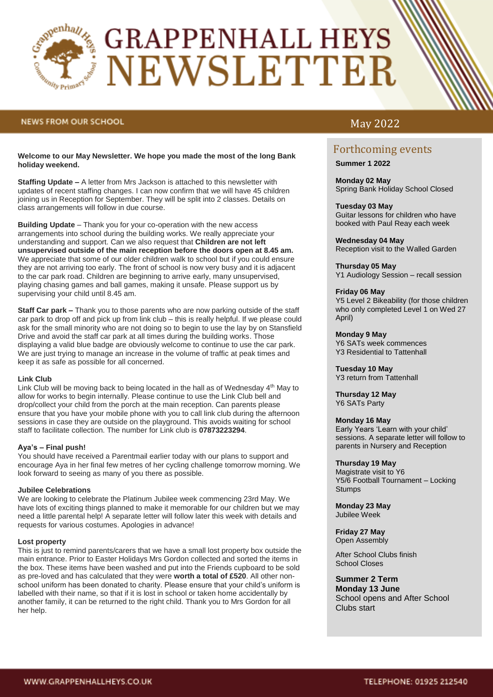

# **GRAPPENHALL HEYS** NEWSLETTER

# **NEWS FROM OUR SCHOOL**

# **Welcome to our May Newsletter. We hope you made the most of the long Bank holiday weekend.**

**Staffing Update –** A letter from Mrs Jackson is attached to this newsletter with updates of recent staffing changes. I can now confirm that we will have 45 children joining us in Reception for September. They will be split into 2 classes. Details on class arrangements will follow in due course.

**Building Update** – Thank you for your co-operation with the new access arrangements into school during the building works. We really appreciate your understanding and support. Can we also request that **Children are not left unsupervised outside of the main reception before the doors open at 8.45 am.** We appreciate that some of our older children walk to school but if you could ensure they are not arriving too early. The front of school is now very busy and it is adjacent to the car park road. Children are beginning to arrive early, many unsupervised, playing chasing games and ball games, making it unsafe. Please support us by supervising your child until 8.45 am.

**Staff Car park –** Thank you to those parents who are now parking outside of the staff car park to drop off and pick up from link club – this is really helpful. If we please could ask for the small minority who are not doing so to begin to use the lay by on Stansfield Drive and avoid the staff car park at all times during the building works. Those displaying a valid blue badge are obviously welcome to continue to use the car park. We are just trying to manage an increase in the volume of traffic at peak times and keep it as safe as possible for all concerned.

### **Link Club**

Link Club will be moving back to being located in the hall as of Wednesday  $4<sup>th</sup>$  May to allow for works to begin internally. Please continue to use the Link Club bell and drop/collect your child from the porch at the main reception. Can parents please ensure that you have your mobile phone with you to call link club during the afternoon sessions in case they are outside on the playground. This avoids waiting for school staff to facilitate collection. The number for Link club is **07873223294**.

### **Aya's – Final push!**

You should have received a Parentmail earlier today with our plans to support and encourage Aya in her final few metres of her cycling challenge tomorrow morning. We look forward to seeing as many of you there as possible.

# **Jubilee Celebrations**

We are looking to celebrate the Platinum Jubilee week commencing 23rd May. We have lots of exciting things planned to make it memorable for our children but we may need a little parental help! A separate letter will follow later this week with details and requests for various costumes. Apologies in advance!

# **Lost property**

This is just to remind parents/carers that we have a small lost property box outside the main entrance. Prior to Easter Holidays Mrs Gordon collected and sorted the items in the box. These items have been washed and put into the Friends cupboard to be sold as pre-loved and has calculated that they were **worth a total of £520**. All other nonschool uniform has been donated to charity. Please ensure that your child's uniform is labelled with their name, so that if it is lost in school or taken home accidentally by another family, it can be returned to the right child. Thank you to Mrs Gordon for all her help.

# May 2022

# Forthcoming events

**Summer 1 2022**

**Monday 02 May**  Spring Bank Holiday School Closed

# **Tuesday 03 May**

Guitar lessons for children who have booked with Paul Reay each week

**Wednesday 04 May**  Reception visit to the Walled Garden

**Thursday 05 May** Y1 Audiology Session – recall session

### **Friday 06 May**

Y5 Level 2 Bikeability (for those children who only completed Level 1 on Wed 27 April)

### **Monday 9 May**

Y6 SATs week commences Y3 Residential to Tattenhall

**Tuesday 10 May** Y3 return from Tattenhall

**Thursday 12 May** Y6 SATs Party

### **Monday 16 May**

Early Years 'Learn with your child' sessions. A separate letter will follow to parents in Nursery and Reception

### **Thursday 19 May**

Magistrate visit to Y6 Y5/6 Football Tournament – Locking **Stumps** 

**Monday 23 May** Jubilee Week

**Friday 27 May** Open Assembly

After School Clubs finish School Closes

# **Summer 2 Term**

**Monday 13 June** School opens and After School Clubs start